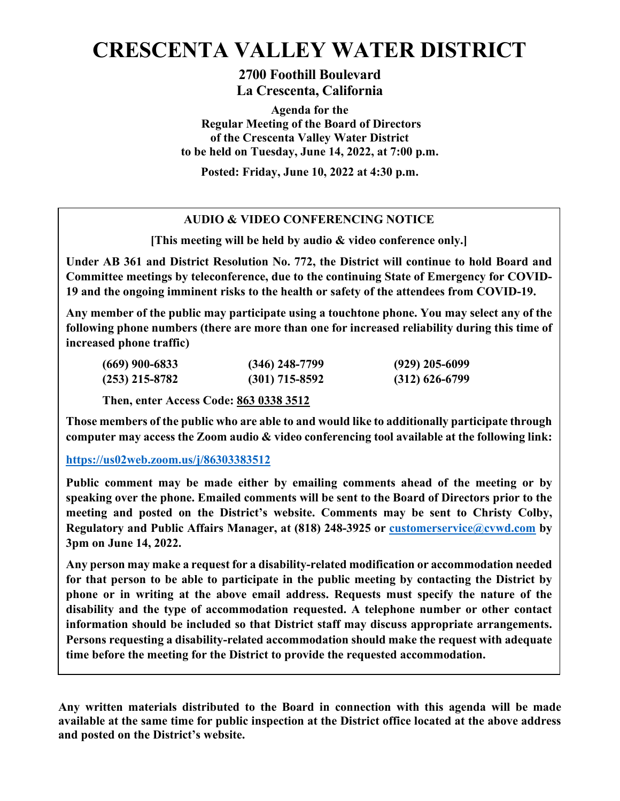# **CRESCENTA VALLEY WATER DISTRICT**

**2700 Foothill Boulevard La Crescenta, California**

**Agenda for the Regular Meeting of the Board of Directors of the Crescenta Valley Water District to be held on Tuesday, June 14, 2022, at 7:00 p.m.** 

**Posted: Friday, June 10, 2022 at 4:30 p.m.** 

# **AUDIO & VIDEO CONFERENCING NOTICE**

**[This meeting will be held by audio & video conference only.]**

**Under AB 361 and District Resolution No. 772, the District will continue to hold Board and Committee meetings by teleconference, due to the continuing State of Emergency for COVID-19 and the ongoing imminent risks to the health or safety of the attendees from COVID-19.** 

**Any member of the public may participate using a touchtone phone. You may select any of the following phone numbers (there are more than one for increased reliability during this time of increased phone traffic)**

| $(669)$ 900-6833 | $(346)$ 248-7799 | $(929)$ 205-6099 |
|------------------|------------------|------------------|
| $(253)$ 215-8782 | $(301)$ 715-8592 | $(312)$ 626-6799 |

**Then, enter Access Code: 863 0338 3512** 

**Those members of the public who are able to and would like to additionally participate through computer may access the Zoom audio & video conferencing tool available at the following link:**

# **<https://us02web.zoom.us/j/86303383512>**

**Public comment may be made either by emailing comments ahead of the meeting or by speaking over the phone. Emailed comments will be sent to the Board of Directors prior to the meeting and posted on the District's website. Comments may be sent to Christy Colby, Regulatory and Public Affairs Manager, at (818) 248-3925 or [customerservice@cvwd.com](mailto:customerservice@cvwd.com) by 3pm on June 14, 2022.** 

**Any person may make a request for a disability-related modification or accommodation needed for that person to be able to participate in the public meeting by contacting the District by phone or in writing at the above email address. Requests must specify the nature of the disability and the type of accommodation requested. A telephone number or other contact information should be included so that District staff may discuss appropriate arrangements. Persons requesting a disability-related accommodation should make the request with adequate time before the meeting for the District to provide the requested accommodation.**

**Any written materials distributed to the Board in connection with this agenda will be made available at the same time for public inspection at the District office located at the above address and posted on the District's website.**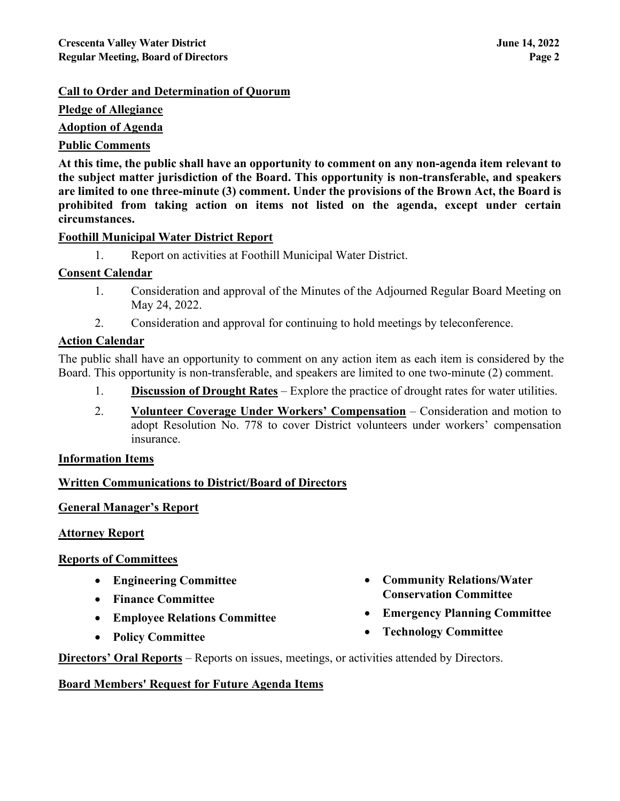# **Call to Order and Determination of Quorum**

**Pledge of Allegiance**

**Adoption of Agenda**

# **Public Comments**

**At this time, the public shall have an opportunity to comment on any non-agenda item relevant to the subject matter jurisdiction of the Board. This opportunity is non-transferable, and speakers are limited to one three-minute (3) comment. Under the provisions of the Brown Act, the Board is prohibited from taking action on items not listed on the agenda, except under certain circumstances.**

# **Foothill Municipal Water District Report**

1. Report on activities at Foothill Municipal Water District.

# **Consent Calendar**

- 1. Consideration and approval of the Minutes of the Adjourned Regular Board Meeting on May 24, 2022.
- 2. Consideration and approval for continuing to hold meetings by teleconference.

#### **Action Calendar**

The public shall have an opportunity to comment on any action item as each item is considered by the Board. This opportunity is non-transferable, and speakers are limited to one two-minute (2) comment.

- 1. **Discussion of Drought Rates** Explore the practice of drought rates for water utilities.
- 2. **Volunteer Coverage Under Workers' Compensation** Consideration and motion to adopt Resolution No. 778 to cover District volunteers under workers' compensation insurance.

#### **Information Items**

# **Written Communications to District/Board of Directors**

# **General Manager's Report**

#### **Attorney Report**

# **Reports of Committees**

- **Engineering Committee**
- **Finance Committee**
- **Employee Relations Committee**
- **Policy Committee**
- **Community Relations/Water Conservation Committee**
- **Emergency Planning Committee**
- **Technology Committee**

**Directors' Oral Reports** – Reports on issues, meetings, or activities attended by Directors.

# **Board Members' Request for Future Agenda Items**